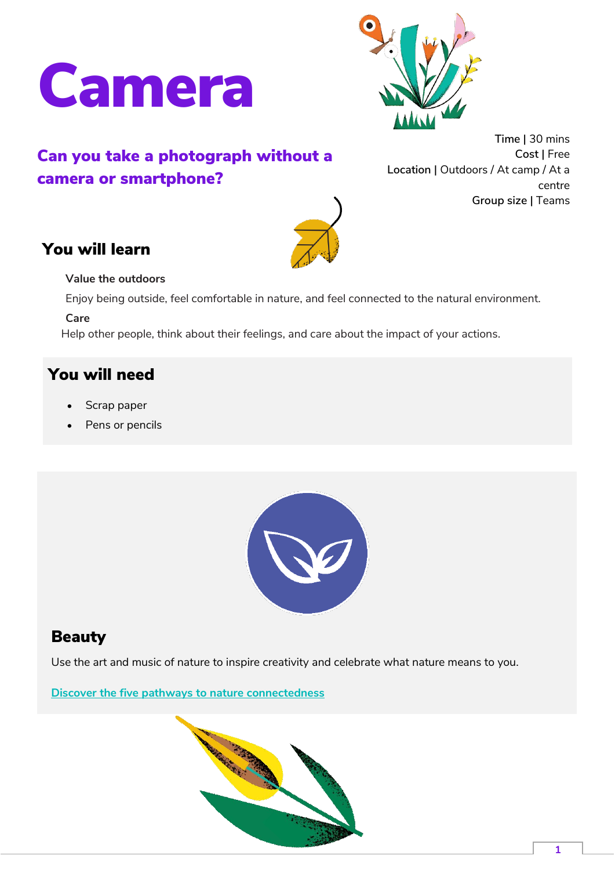



# Can you take a photograph without a camera or smartphone?

**Time |** 30 mins **Cost |** Free **Location |** Outdoors / At camp / At a centre **Group size |** Teams

## You will learn



#### **Value the outdoors**

Enjoy being outside, feel comfortable in nature, and feel connected to the natural environment.

**Care** 

Help other people, think about their feelings, and care about the impact of your actions.

### You will need

- Scrap paper
- Pens or pencils



#### Beauty

Use the art and music of nature to inspire creativity and celebrate what nature means to you.

**[Discover the five pathways to nature connectedness](https://www.scouts.org.uk/volunteers/running-your-section/programme-guidance/take-part-in-generation-green/five-pathways-to-nature-connectedness/)**

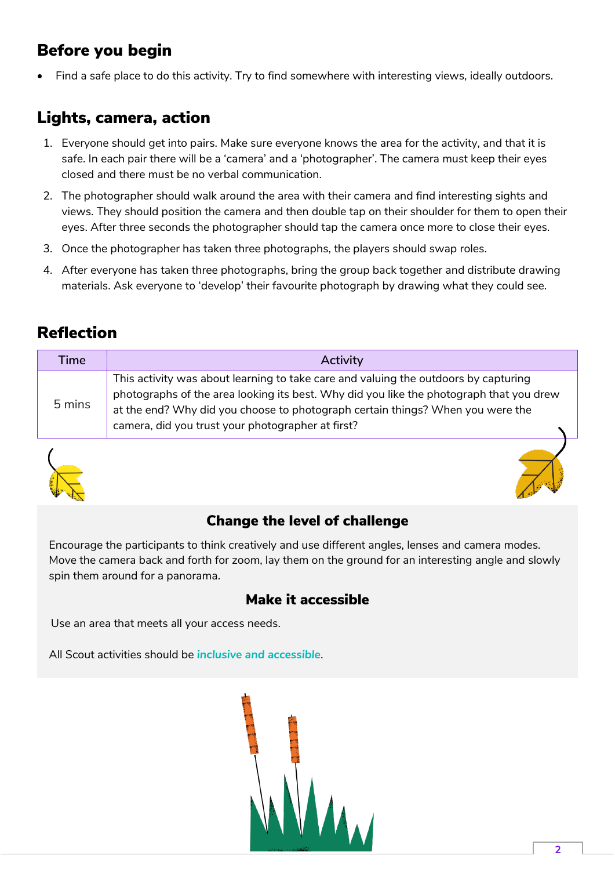## Before you begin

Find a safe place to do this activity. Try to find somewhere with interesting views, ideally outdoors.

## Lights, camera, action

- 1. Everyone should get into pairs. Make sure everyone knows the area for the activity, and that it is safe. In each pair there will be a 'camera' and a 'photographer'. The camera must keep their eyes closed and there must be no verbal communication.
- 2. The photographer should walk around the area with their camera and find interesting sights and views. They should position the camera and then double tap on their shoulder for them to open their eyes. After three seconds the photographer should tap the camera once more to close their eyes.
- 3. Once the photographer has taken three photographs, the players should swap roles.
- 4. After everyone has taken three photographs, bring the group back together and distribute drawing materials. Ask everyone to 'develop' their favourite photograph by drawing what they could see.

## Reflection

| Time   | Activity                                                                                                                                                                                                                                                                                                              |
|--------|-----------------------------------------------------------------------------------------------------------------------------------------------------------------------------------------------------------------------------------------------------------------------------------------------------------------------|
| 5 mins | This activity was about learning to take care and valuing the outdoors by capturing<br>photographs of the area looking its best. Why did you like the photograph that you drew<br>at the end? Why did you choose to photograph certain things? When you were the<br>camera, did you trust your photographer at first? |



#### Change the level of challenge

Encourage the participants to think creatively and use different angles, lenses and camera modes. Move the camera back and forth for zoom, lay them on the ground for an interesting angle and slowly spin them around for a panorama.

#### Make it accessible

Use an area that meets all your access needs.

All Scout activities should be *[inclusive and accessible](https://www.scouts.org.uk/volunteers/inclusion-and-diversity/supporting-those-with-additional-needs-and-neurodiversity/reasonable-adjustments/)*.